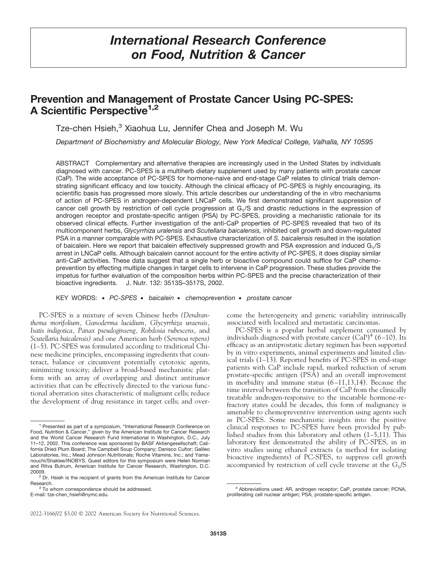# *International Research Conference on Food, Nutrition & Cancer*

# **Prevention and Management of Prostate Cancer Using PC-SPES: A Scientific Perspective1,2**

Tze-chen Hsieh,<sup>3</sup> Xiaohua Lu, Jennifer Chea and Joseph M. Wu

*Department of Biochemistry and Molecular Biology, New York Medical College, Valhalla, NY 10595*

ABSTRACT Complementary and alternative therapies are increasingly used in the United States by individuals diagnosed with cancer. PC-SPES is a multiherb dietary supplement used by many patients with prostate cancer (CaP). The wide acceptance of PC-SPES for hormone-naive and end-stage CaP relates to clinical trials demonstrating significant efficacy and low toxicity. Although the clinical efficacy of PC-SPES is highly encouraging, its scientific basis has progressed more slowly. This article describes our understanding of the in vitro mechanisms of action of PC-SPES in androgen-dependent LNCaP cells. We first demonstrated significant suppression of cancer cell growth by restriction of cell cycle progression at G<sub>1</sub>/S and drastic reductions in the expression of androgen receptor and prostate-specific antigen (PSA) by PC-SPES, providing a mechanistic rationale for its observed clinical effects. Further investigation of the anti-CaP properties of PC-SPES revealed that two of its multicomponent herbs, *Glycyrrhiza uralensis* and *Scutellaria baicalensis,* inhibited cell growth and down-regulated PSA in a manner comparable with PC-SPES. Exhaustive characterization of *S. baicalensis* resulted in the isolation of baicalein. Here we report that baicalein effectively suppressed growth and PSA expression and induced G1/S arrest in LNCaP cells. Although baicalein cannot account for the entire activity of PC-SPES, it does display similar anti-CaP activities. These data suggest that a single herb or bioactive compound could suffice for CaP chemoprevention by effecting multiple changes in target cells to intervene in CaP progression. These studies provide the impetus for further evaluation of the composition herbs within PC-SPES and the precise characterization of their bioactive ingredients. J. Nutr. 132: 3513S–3517S, 2002.

KEY WORDS: ● *PC-SPES* ● *baicalein* ● *chemoprevention* ● *prostate cancer*

PC-SPES is a mixture of seven Chinese herbs *(Dendranthema morifolium, Ganoderma lucidium, Glycyrrhiza uraensis, Isatis indigotica, Panax pseudoginseng, Robdosia rubescens,* and *Scutellaria baicalensis)* and one American herb *(Serenoa repens)* (1–5). PC-SPES was formulated according to traditional Chinese medicine principles, encompassing ingredients that counteract, balance or circumvent potentially cytotoxic agents, minimizing toxicity; deliver a broad-based mechanistic platform with an array of overlapping and distinct antitumor activities that can be effectively directed to the various functional aberration sites characteristic of malignant cells; reduce the development of drug resistance in target cells; and over-

 $3$  To whom correspondence should be addressed.

E-mail: tze-chen\_hsieh@nymc.edu.

come the heterogeneity and genetic variability intrinsically associated with localized and metastatic carcinomas.

PC-SPES is a popular herbal supplement consumed by individuals diagnosed with prostate cancer  $(CaP)^4$  (6–10). Its efficacy as an antiprostatic dietary regimen has been supported by in vitro experiments, animal experiments and limited clinical trials (1–13). Reported benefits of PC-SPES in end-stage patients with CaP include rapid, marked reduction of serum prostate-specific antigen (PSA) and an overall improvement in morbidity and immune status  $(6-11,13,14)$ . Because the time interval between the transition of CaP from the clinically treatable androgen-responsive to the incurable hormone-refractory states could be decades, this form of malignancy is amenable to chemopreventive intervention using agents such as PC-SPES. Some mechanistic insights into the positive clinical responses to PC-SPES have been provided by published studies from this laboratory and others (1–5,11). This laboratory first demonstrated the ability of PC-SPES, in in vitro studies using ethanol extracts (a method for isolating bioactive ingredients) of PC-SPES, to suppress cell growth accompanied by restriction of cell cycle traverse at the  $G_1/S$ 

<sup>&</sup>lt;sup>1</sup> Presented as part of a symposium, "International Research Conference on Food, Nutrition & Cancer," given by the American Institute for Cancer Research and the World Cancer Research Fund International in Washington, D.C., July 11–12, 2002. This conference was sponsored by BASF Aktiengesellschaft; California Dried Plum Board; The Campbell Soup Company; Danisco Cultor; Galileo Laboratories, Inc.; Mead Johnson Nutritionals; Roche Vitamins, Inc.; and Yamanouchi/Shaklee/INOBYS. Guest editors for this symposium were Helen Norman and Ritva Butrum, American Institute for Cancer Research, Washington, D.C.

 $2$  Dr. Hsieh is the recipient of grants from the American Institute for Cancer Research.

<sup>0022-3166/02 \$3.00 © 2002</sup> American Society for Nutritional Sciences.

<sup>4</sup> Abbreviations used: AR, androgen receptor; CaP, prostate cancer; PCNA, proliferating cell nuclear antigen; PSA, prostate-specific antigen.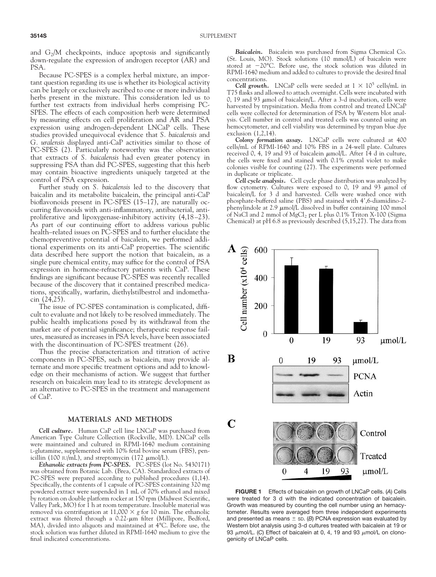and  $G_2/M$  checkpoints, induce apoptosis and significantly down-regulate the expression of androgen receptor (AR) and PSA.

Because PC-SPES is a complex herbal mixture, an important question regarding its use is whether its biological activity can be largely or exclusively ascribed to one or more individual herbs present in the mixture. This consideration led us to further test extracts from individual herbs comprising PC-SPES. The effects of each composition herb were determined by measuring effects on cell proliferation and AR and PSA expression using androgen-dependent LNCaP cells. These studies provided unequivocal evidence that *S. baicalensis* and *G. uralensis* displayed anti-CaP activities similar to those of PC-SPES (2). Particularly noteworthy was the observation that extracts of *S. baicalensis* had even greater potency in suppressing PSA than did PC-SPES, suggesting that this herb may contain bioactive ingredients uniquely targeted at the control of PSA expression.

Further study on *S. baicalensis* led to the discovery that baicalin and its metabolite baicalein, the principal anti-CaP bioflavonoids present in PC-SPES (15–17), are naturally occurring flavonoids with anti-inflammatory, antibacterial, antiproliferative and lipoxygenase-inhibitory activity (4,18–23). As part of our continuing effort to address various public health–related issues on PC-SPES and to further elucidate the chemopreventive potential of baicalein, we performed additional experiments on its anti-CaP properties. The scientific data described here support the notion that baicalein, as a single pure chemical entity, may suffice for the control of PSA expression in hormone-refractory patients with CaP. These findings are significant because PC-SPES was recently recalled because of the discovery that it contained prescribed medications, specifically, warfarin, diethylstilbestrol and indomethacin (24,25).

The issue of PC-SPES contamination is complicated, difficult to evaluate and not likely to be resolved immediately. The public health implications posed by its withdrawal from the market are of potential significance; therapeutic response failures, measured as increases in PSA levels, have been associated with the discontinuation of PC-SPES treatment (26).

Thus the precise characterization and titration of active components in PC-SPES, such as baicalein, may provide alternate and more specific treatment options and add to knowledge on their mechanisms of action. We suggest that further research on baicalein may lead to its strategic development as an alternative to PC-SPES in the treatment and management of CaP.

### **MATERIALS AND METHODS**

*Cell culture.* Human CaP cell line LNCaP was purchased from American Type Culture Collection (Rockville, MD). LNCaP cells were maintained and cultured in RPMI-1640 medium containing L-glutamine, supplemented with 10% fetal bovine serum (FBS), penicillin (100  $\text{I}U/\text{m}L$ ), and streptomycin (172  $\mu\text{mol}/L$ ).

*Ethanolic extracts from PC-SPES.* PC-SPES (lot No. 5430171) was obtained from Botanic Lab. (Brea, CA). Standardized extracts of PC-SPES were prepared according to published procedures (1,14). Specifically, the contents of 1 capsule of PC-SPES containing 320 mg powdered extract were suspended in 1 mL of 70% ethanol and mixed by rotation on double platform rocker at 150 rpm (Midwest Scientific, Valley Park, MO) for 1 h at room temperature. Insoluble material was removed via centrifugation at  $11,000 \times g$  for 10 min. The ethanolic extract was filtered through a  $0.22 \times \mu m$  filter (Millipore, Bedford, MA), divided into aliquots and maintained at 4°C. Before use, the stock solution was further diluted in RPMI-1640 medium to give the final indicated concentrations.

*Baicalein.* Baicalein was purchased from Sigma Chemical Co. (St. Louis, MO). Stock solutions (10 mmol/L) of baicalein were stored at -20°C. Before use, the stock solution was diluted in RPMI-1640 medium and added to cultures to provide the desired final concentrations.

**Cell growth.** LNCaP cells were seeded at  $1 \times 10^5$  cells/mL in T75 flasks and allowed to attach overnight. Cells were incubated with 0, 19 and 93  $\mu$ mol of baicalein/L. After a 3-d incubation, cells were harvested by trypsinization. Media from control and treated LNCaP cells were collected for determination of PSA by Western blot analysis. Cell number in control and treated cells was counted using an hemocytometer, and cell viability was determined by trypan blue dye exclusion (1,2,14).

*Colony formation assay.* LNCaP cells were cultured at 400 cells/mL of RPMI-1640 and 10% FBS in a 24-well plate. Cultures received 0, 4, 19 and 93 of baicalein  $\mu$ mol/L. After 14 d in culture, the cells were fixed and stained with 0.1% crystal violet to make colonies visible for counting (27). The experiments were performed in duplicate or triplicate.

*Cell cycle analysis.* Cell cycle phase distribution was analyzed by flow cytometry. Cultures were exposed to 0, 19 and 93  $\mu$ mol of baicalein/L for 3 d and harvested. Cells were washed once with phosphate-buffered saline (PBS) and stained with 4',6-diamidino-2phenylindole at  $2.9 \mu$ mol/L dissolved in buffer containing 100 mmol of NaCl and 2 mmol of MgCl<sub>2</sub> per L plus 0.1% Triton X-100 (Sigma Chemical) at pH 6.8 as previously described (5,15,27). The data from



**FIGURE 1** Effects of baicalein on growth of LNCaP cells. (*A*) Cells were treated for 3 d with the indicated concentration of baicalein. Growth was measured by counting the cell number using an hemacytometer. Results were averaged from three independent experiments and presented as means  $\pm$  sp. (*B*) PCNA expression was evaluated by Western blot analysis using 3-d cultures treated with baicalein at 19 or 93  $\mu$ mol/L. (C) Effect of baicalein at 0, 4, 19 and 93  $\mu$ mol/L on clonogenicity of LNCaP cells.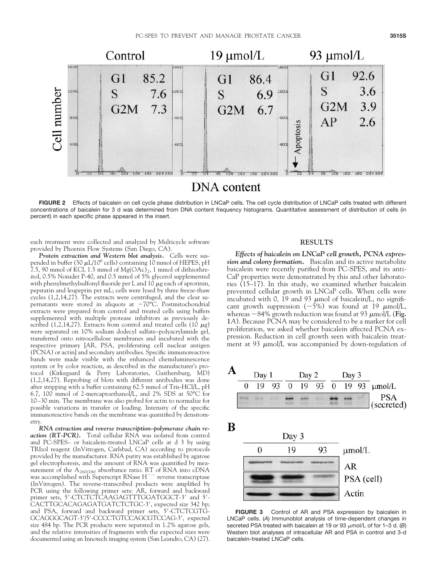

**FIGURE 2** Effects of baicalein on cell cycle phase distribution in LNCaP cells. The cell cycle distribution of LNCaP cells treated with different concentrations of baicalein for 3 d was determined from DNA content frequency histograms. Quantitative assessment of distribution of cells (in percent) in each specific phase appeared in the insert.

each treatment were collected and analyzed by Multicycle software provided by Phoenix Flow Systems (San Diego, CA).

*Protein extraction and Western blot analysis.* Cells were suspended in buffer (50  $\mu\text{L}/10^6$  cells) containing 10 mmol of HEPES, pH 7.5, 90 mmol of KCl, 1.5 mmol of  $Mg(OAc)_2$ , 1 mmol of dithiothreitol, 0.5% Nonidet P-40, and 0.5 mmol of 5% glycerol supplemented with phenylmethylsulfonyl fluoride per L and 10  $\mu$ g each of aprotinin, pepstatin and leupeptin per mL; cells were lysed by three freeze-thaw cycles (1,2,14,27). The extracts were centrifuged, and the clear supernatants were stored in aliquots at -70°C. Postmitochondrial extracts were prepared from control and treated cells using buffers supplemented with multiple protease inhibitors as previously described (1,2,14,27). Extracts from control and treated cells (10  $\mu$ g) were separated on 10% sodium dodecyl sulfate–polyacrylamide gel, transferred onto nitrocellulose membranes and incubated with the respective primary [AR, PSA, proliferating cell nuclear antigen (PCNA) or actin] and secondary antibodies. Specific immunoreactive bands were made visible with the enhanced chemiluminescence system or by color reaction, as described in the manufacturer's protocol (Kirkegaard & Perry Laboratories, Gaithersburg, MD) (1,2,14,27). Reprobing of blots with different antibodies was done after stripping with a buffer containing 62.5 mmol of Tris-HCl/L, pH 6.7, 100 mmol of 2-mercaptoethanol/L, and 2% SDS at 50°C for 10–30 min. The membrane was also probed for actin to normalize for possible variations in transfer or loading. Intensity of the specific immunoreactive bands on the membrane was quantified by densitometry.

*RNA extraction and reverse transcription–polymerase chain reaction (RT-PCR).* Total cellular RNA was isolated from control and PC-SPES– or baicalein-treated LNCaP cells at d 3 by using TRIzol reagent (InVitrogen, Carlsbad, CA) according to protocols provided by the manufacturer. RNA purity was established by agarose gel electrophoresis, and the amount of RNA was quantified by measurement of the A<sub>260/280</sub> absorbance ratio. RT of RNA into cDNA<br>was accomplished with Superscript RNase H<sup>--</sup> reverse transcriptase (InVitrogen). The reverse-transcribed products were amplified by PCR using the following primer sets: AR, forward and backward primer sets, 5'-CTCTCTCAAGAGTTTGGATGGCT-3' and 5'-CACTTGCACAGAGATGATCTCTGC-3', expected size 342 bp; and PSA, forward and backward primer sets, 5'-CTCTCGTG-GCAGGGCAGT-3/5-CCCCTGTCCAGCGTCCAG-3, expected size 484 bp. The PCR products were separated in 1.2% agarose gels, and the relative intensities of fragments with the expected sizes were documented using an Innotech imaging system (San Leandro, CA) (27).

## **RESULTS**

*Effects of baicalein on LNCaP cell growth, PCNA expression and colony formation.* Baicalin and its active metabolite baicalein were recently purified from PC-SPES, and its anti-CaP properties were demonstrated by this and other laboratories (15–17). In this study, we examined whether baicalein prevented cellular growth in LNCaP cells. When cells were incubated with 0, 19 and 93  $\mu$ mol of baicalein/L, no significant growth suppression ( $\sim$ 5%) was found at 19  $\mu$ mol/L, whereas  $\sim$ 84% growth reduction was found at 93  $\mu$ mol/L (**Fig.**) **1***A*). Because PCNA may be considered to be a marker for cell proliferation, we asked whether baicalein affected PCNA expression. Reduction in cell growth seen with baicalein treatment at 93  $\mu$ mol/L was accompanied by down-regulation of



**FIGURE 3** Control of AR and PSA expression by baicalein in LNCaP cells. (*A*) Immunoblot analysis of time-dependent changes in secreted PSA treated with baicalein at 19 or 93  $\mu$ mol/L of for 1–3 d. (*B*) Western blot analyses of intracellular AR and PSA in control and 3-d baicalein-treated LNCaP cells.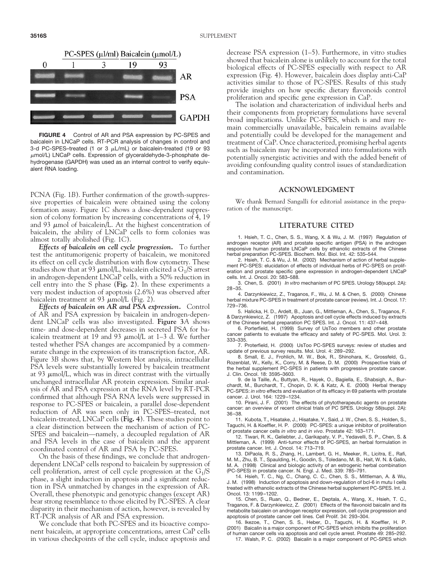

**FIGURE 4** Control of AR and PSA expression by PC-SPES and baicalein in LNCaP cells. RT-PCR analysis of changes in control and 3-d PC-SPES-treated (1 or 3  $\mu$ L/mL) or baicalein-treated (19 or 93 mol/L) LNCaP cells. Expression of glyceraldehyde-3-phosphate dehydrogenase (GAPDH) was used as an internal control to verify equivalent RNA loading.

PCNA (Fig. 1*B*). Further confirmation of the growth-suppressive properties of baicalein were obtained using the colony formation assay. Figure 1*C* shows a dose-dependent suppression of colony formation by increasing concentrations of 4, 19 and 93  $\mu$ mol of baicalein/L. At the highest concentration of baicalein, the ability of LNCaP cells to form colonies was almost totally abolished (Fig. 1*C*).

*Effects of baicalein on cell cycle progression.* To further test the antitumorigenic property of baicalein, we monitored its effect on cell cycle distribution with flow cytometry. These studies show that at 93  $\mu$ mol/L, baicalein elicited a G<sub>1</sub>/S arrest in androgen-dependent LNCaP cells, with a 50% reduction in cell entry into the S phase (**Fig. 2**). In these experiments a very modest induction of apoptosis (2.6%) was observed after baicalein treatment at 93  $\mu$ mol/L (Fig. 2).

*Effects of baicalein on AR and PSA expression.* Control of AR and PSA expression by baicalein in androgen-dependent LNCaP cells was also investigated. **Figure 3***A* shows time- and dose-dependent decreases in secreted PSA for baicalein treatment at 19 and 93  $\mu$ mol/L at 1–3 d. We further tested whether PSA changes are accompanied by a commensurate change in the expression of its transcription factor, AR. Figure 3*B* shows that, by Western blot analysis, intracellular PSA levels were substantially lowered by baicalein treatment at 93  $\mu$ mol/L, which was in direct contrast with the virtually unchanged intracellular AR protein expression. Similar analysis of AR and PSA expression at the RNA level by RT-PCR confirmed that although PSA RNA levels were suppressed in response to PC-SPES or baicalein, a parallel dose-dependent reduction of AR was seen only in PC-SPES–treated, not baicalein-treated, LNCaP cells (**Fig. 4**). These studies point to a clear distinction between the mechanism of action of PC-SPES and baicalein—namely, a decoupled regulation of AR and PSA levels in the case of baicalein and the apparent coordinated control of AR and PSA by PC-SPES.

On the basis of these findings, we conclude that androgendependent LNCaP cells respond to baicalein by suppression of cell proliferation, arrest of cell cycle progression at the  $G_1/S$ phase, a slight induction in apoptosis and a significant reduction in PSA unmatched by changes in the expression of AR. Overall, these phenotypic and genotypic changes (except AR) bear strong resemblance to those elicited by PC-SPES. A clear disparity in their mechanism of action, however, is revealed by RT-PCR analysis of AR and PSA expression.

We conclude that both PC-SPES and its bioactive component baicalein, at appropriate concentrations, arrest CaP cells in various checkpoints of the cell cycle, induce apoptosis and decrease PSA expression (1–5). Furthermore, in vitro studies showed that baicalein alone is unlikely to account for the total biological effects of PC-SPES especially with respect to AR expression (Fig. 4). However, baicalein does display anti-CaP activities similar to those of PC-SPES. Results of this study provide insights on how specific dietary flavonoids control proliferation and specific gene expression in CaP.

The isolation and characterization of individual herbs and their components from proprietary formulations have several broad implications. Unlike PC-SPES, which is and may remain commercially unavailable, baicalein remains available and potentially could be developed for the management and treatment of CaP. Once characterized, promising herbal agents such as baicalein may be incorporated into formulations with potentially synergistic activities and with the added benefit of avoiding confounding quality control issues of standardization and contamination.

#### **ACKNOWLEDGMENT**

We thank Bernard Sangalli for editorial assistance in the preparation of the manuscript.

#### **LITERATURE CITED**

1. Hsieh, T. C., Chen, S. S., Wang, X. & Wu, J. M. (1997) Regulation of androgen receptor (AR) and prostate specific antigen (PSA) in the androgen responsive human prostate LNCaP cells by ethanolic extracts of the Chinese herbal preparation PC-SPES. Biochem. Mol. Biol. Int. 42: 535–544.

2. Hsieh, T. C. & Wu, J. M. (2002) Mechanism of action of herbal supplement PC-SPES: elucidation of effects of individual herbs of PC-SPES on proliferation and prostate specific gene expression in androgen-dependent LNCaP cells. Int. J. Oncol. 20: 583–588.

3. Chen, S. (2001) *In vitro* mechanism of PC SPES. Urology 58(suppl. 2A): 28–35.

4. Darzynkiewicz, Z., Traganos, F., Wu, J. M. & Chen, S. (2000) Chinese herbal mixture PC-SPES in treatment of prostate cancer (review). Int. J. Oncol. 17: 729–736.

5. Halicka, H. D., Ardelt, B., Juan, G., Mittleman, A., Chen, S., Traganos, F. & Darzynkiewicz, Z. (1997) Apoptosis and cell cycle effects induced by extracts of the Chinese herbal preparation PC SPES. Int. J. Oncol. 11: 437–448.

6. Porterfield, H. (1999) Survey of UsToo members and other prostate cancer patients to evaluate the efficacy and safety of PC-SPES. Mol. Urol. 3: 333–335.

7. Proterfield, H. (2000) UsToo PC-SPES surveys: review of studies and update of previous survey results. Mol. Urol. 4: 289–292.

8. Small, E. J., Frohlich, M. W., Bok, R., Shinohara, K., Grossfeld, G., Rozenblat, W., Kelly, K., Corry, M. & Reese, D. M. (2000) Prospective trials of the herbal supplement PC-SPES in patients with progressive prostate cancer. J. Clin. Oncol. 18: 3595–3603.

9. de la Taille, A., Buttyan, R., Hayek, O., Bagiella, E., Shabsigh, A., Burchardt, M., Burchardt, T., Chopin, D. K. & Katz, A. E. (2000) Herbal therapy PC-SPES: *in vitro* effects and evaluation of its efficacy in 69 patients with prostate cancer. J. Urol. 164: 1229–1234.

10. Pirani, J. F. (2001) The effects of phytotherapeutic agents on prostate cancer: an overview of recent clinical trials of PC SPES. Urology 58(suppl. 2A): 36–38.

11. Kubota, T., Hisatake, J., Hisatake, Y., Said, J. W., Chen, S. S., Holden, S., Taguchi, H. & Koeffler, H. P. (2000) PC-SPES: a unique inhibitor of proliferation of prostate cancer cells *in vitro* and *in vivo*. Prostate 42: 163–171.

12. Tiwari, R. K., Geliebter, J., Garikapaty, V. P., Yedavelli, S. P., Chen, S. & Mittleman, A. (1999) Anti-tumor effects of PC-SPES, an herbal formulation in prostate cancer. Int. J. Oncol. 14: 713–719.

13. DiPaola, R. S., Zhang, H., Lambert, G. H., Meeker, R., Licitra, E., Rafi, M. M., Zhu, B. T., Spaulding, H., Goodin, S., Toledano, M. B., Hait, W. N. & Gallo, M. A. (1998) Clinical and biologic activity of an estrogenic herbal combination (PC-SPES) in prostate cancer. N. Engl. J. Med. 339: 785–791.

14. Hsieh, T. C., Ng, C., Chang, C. C., Chen, S. S., Mittleman, A. & Wu, J. M. (1998) Induction of apoptosis and down-regulation of bcl-6 in mutu I cells treated with ethanolic extracts of the Chinese herbal supplement PC-SPES. Int. J. Oncol. 13: 1199–1202.

15. Chen, S., Ruan, Q., Bedner, E., Deptala, A., Wang, X., Hsieh, T. C., Traganos, F. & Darzynkiewicz, Z. (2001) Effects of the flavonoid baicalin and its metabolite baicalein on androgen receptor expression, cell cycle progression and apoptosis of prostate cancer cell lines. Cell Prolif. 34: 293–304.

16. Ikezoe, T., Chen, S. S., Heber, D., Taguchi, H. & Koeffler, H. P. (2001) Baicalin is a major component of PC-SPES which inhibits the proliferation of human cancer cells via apoptosis and cell cycle arrest. Prostate 49: 285–292.

17. Walsh, P. C. (2002) Baicalin is a major component of PC-SPES which